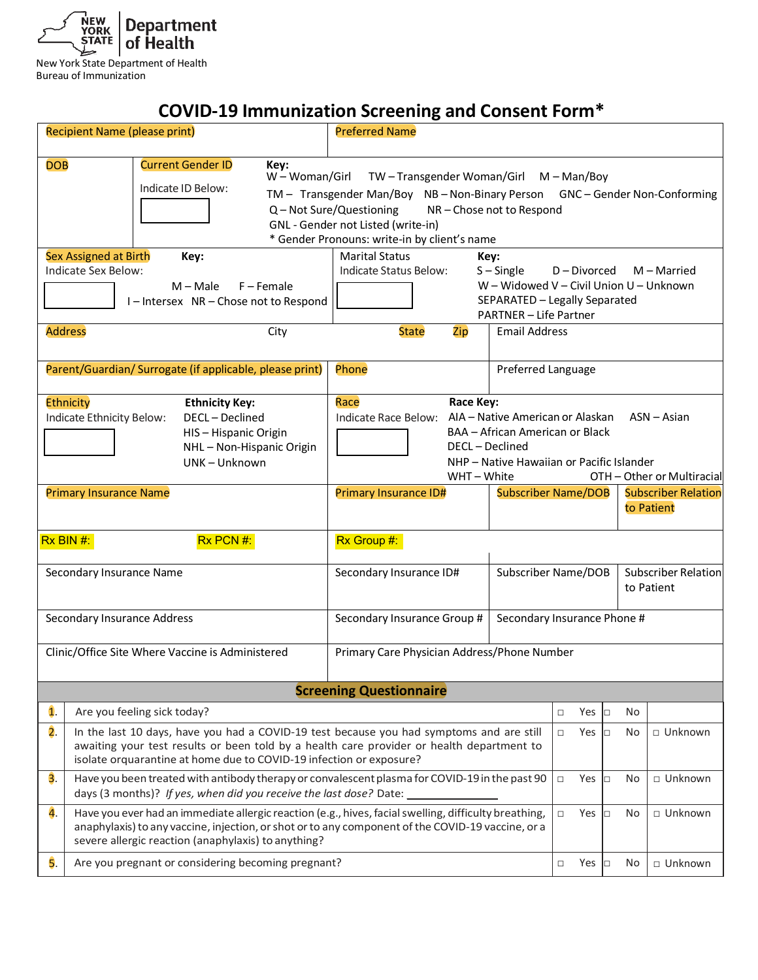

New York State Department of Health Bureau of Immunization

## **COVID-19 Immunization Screening and Consent Form\***

|                                                          | <b>Recipient Name (please print)</b>                                                                                                                                                                                                                              | <b>Preferred Name</b>                                                                                                                                                                                                                                                             |                      |                                                                        |              |                |  |
|----------------------------------------------------------|-------------------------------------------------------------------------------------------------------------------------------------------------------------------------------------------------------------------------------------------------------------------|-----------------------------------------------------------------------------------------------------------------------------------------------------------------------------------------------------------------------------------------------------------------------------------|----------------------|------------------------------------------------------------------------|--------------|----------------|--|
| <b>DOB</b>                                               | <b>Current Gender ID</b><br>Key:<br>Indicate ID Below:                                                                                                                                                                                                            | W - Woman/Girl<br>TW-Transgender Woman/Girl M-Man/Boy<br>TM - Transgender Man/Boy NB - Non-Binary Person GNC - Gender Non-Conforming<br>Q - Not Sure/Questioning<br>NR-Chose not to Respond<br>GNL - Gender not Listed (write-in)<br>* Gender Pronouns: write-in by client's name |                      |                                                                        |              |                |  |
|                                                          | Sex Assigned at Birth<br>Key:<br>Indicate Sex Below:<br>$M - Male$<br>$F -$ Female<br>I-Intersex NR-Chose not to Respond                                                                                                                                          | <b>Marital Status</b><br>Key:<br>Indicate Status Below:<br>$S -$ Single<br>$D$ – Divorced<br>$M -$ Married<br>W - Widowed V - Civil Union U - Unknown<br>SEPARATED - Legally Separated<br><b>PARTNER - Life Partner</b>                                                           |                      |                                                                        |              |                |  |
| <b>Address</b>                                           | City                                                                                                                                                                                                                                                              | <b>State</b><br>Zip                                                                                                                                                                                                                                                               | <b>Email Address</b> |                                                                        |              |                |  |
|                                                          | Parent/Guardian/ Surrogate (if applicable, please print)                                                                                                                                                                                                          | Phone                                                                                                                                                                                                                                                                             | Preferred Language   |                                                                        |              |                |  |
|                                                          | Ethnicity<br><b>Ethnicity Key:</b><br>Indicate Ethnicity Below:<br>DECL - Declined<br>HIS-Hispanic Origin<br>NHL-Non-Hispanic Origin<br>UNK - Unknown                                                                                                             | Race Key:<br>Race<br>Indicate Race Below: AIA - Native American or Alaskan<br>$ASN - Asian$<br>BAA - African American or Black<br>DECL - Declined<br>NHP - Native Hawaiian or Pacific Islander<br>WHT - White<br>OTH - Other or Multiracial                                       |                      |                                                                        |              |                |  |
|                                                          | <b>Primary Insurance Name</b>                                                                                                                                                                                                                                     | Primary Insurance ID#                                                                                                                                                                                                                                                             |                      | <b>Subscriber Name/DOB</b><br><b>Subscriber Relation</b><br>to Patient |              |                |  |
| Rx BIN #:                                                | Rx PCN #:                                                                                                                                                                                                                                                         | Rx Group #:                                                                                                                                                                                                                                                                       |                      |                                                                        |              |                |  |
|                                                          | Secondary Insurance Name                                                                                                                                                                                                                                          | Secondary Insurance ID#                                                                                                                                                                                                                                                           |                      | Subscriber Relation<br>Subscriber Name/DOB<br>to Patient               |              |                |  |
|                                                          | Secondary Insurance Address                                                                                                                                                                                                                                       | Secondary Insurance Group #                                                                                                                                                                                                                                                       |                      | Secondary Insurance Phone #                                            |              |                |  |
|                                                          | Clinic/Office Site Where Vaccine is Administered                                                                                                                                                                                                                  | Primary Care Physician Address/Phone Number                                                                                                                                                                                                                                       |                      |                                                                        |              |                |  |
|                                                          |                                                                                                                                                                                                                                                                   | <b>Screening Questionnaire</b>                                                                                                                                                                                                                                                    |                      |                                                                        |              |                |  |
| $\mathbf{1}$ .                                           | Are you feeling sick today?                                                                                                                                                                                                                                       |                                                                                                                                                                                                                                                                                   |                      | Yes<br>$\Box$                                                          | No<br>O      |                |  |
| $\overline{2}$ .                                         | In the last 10 days, have you had a COVID-19 test because you had symptoms and are still<br>awaiting your test results or been told by a health care provider or health department to<br>isolate orquarantine at home due to COVID-19 infection or exposure?      |                                                                                                                                                                                                                                                                                   |                      | $\Box$<br>Yes                                                          | $\Box$<br>No | □ Unknown      |  |
| $\overline{3}$ .                                         | Have you been treated with antibody therapy or convalescent plasma for COVID-19 in the past 90<br>days (3 months)? If yes, when did you receive the last dose? Date:                                                                                              |                                                                                                                                                                                                                                                                                   |                      |                                                                        | No<br>$\Box$ | □ Unknown      |  |
| 4.                                                       | Have you ever had an immediate allergic reaction (e.g., hives, facial swelling, difficulty breathing,<br>anaphylaxis) to any vaccine, injection, or shot or to any component of the COVID-19 vaccine, or a<br>severe allergic reaction (anaphylaxis) to anything? |                                                                                                                                                                                                                                                                                   |                      |                                                                        | O<br>No      | $\Box$ Unknown |  |
| 5.<br>Are you pregnant or considering becoming pregnant? |                                                                                                                                                                                                                                                                   |                                                                                                                                                                                                                                                                                   |                      | Yes<br>$\Box$                                                          | No<br>$\Box$ | □ Unknown      |  |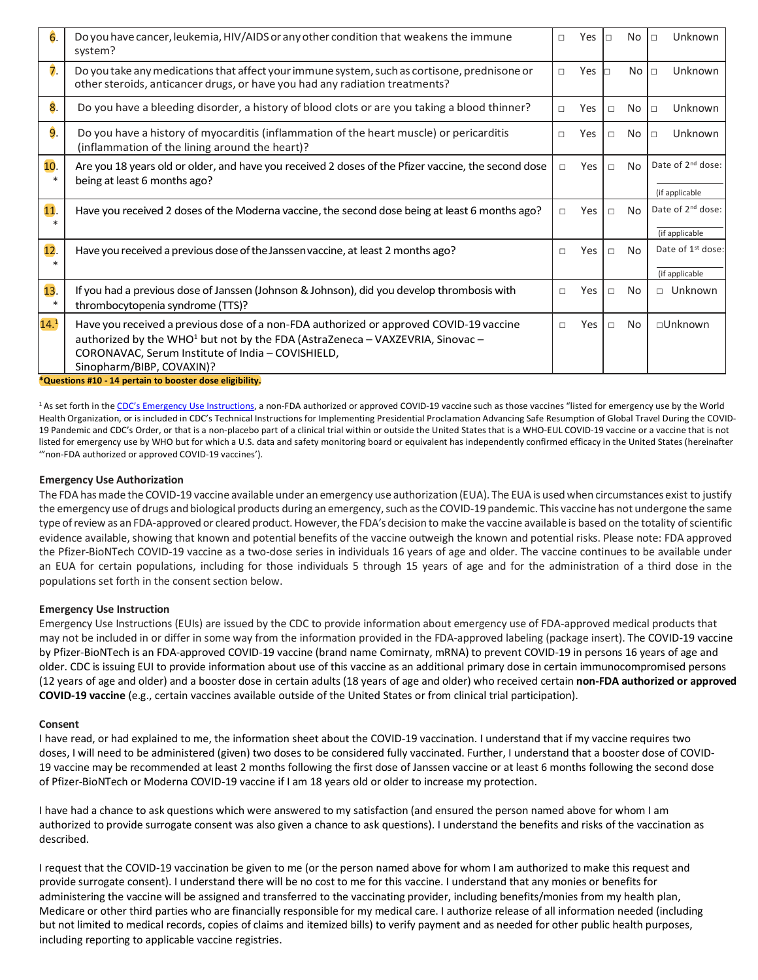| 6.               | Do you have cancer, leukemia, HIV/AIDS or any other condition that weakens the immune<br>system?                                                                                                                                                                      | $\Box$ | Yes | $\Box$ | No        | Unknown<br>$\Box$                               |
|------------------|-----------------------------------------------------------------------------------------------------------------------------------------------------------------------------------------------------------------------------------------------------------------------|--------|-----|--------|-----------|-------------------------------------------------|
| $\overline{7}$ . | Do you take any medications that affect your immune system, such as cortisone, prednisone or<br>other steroids, anticancer drugs, or have you had any radiation treatments?                                                                                           |        | Yes |        | No.       | Unknown<br>$\Box$                               |
| 8.               | Do you have a bleeding disorder, a history of blood clots or are you taking a blood thinner?                                                                                                                                                                          | п      | Yes | $\Box$ | No        | Unknown<br>$\Box$                               |
| 9.               | Do you have a history of myocarditis (inflammation of the heart muscle) or pericarditis<br>(inflammation of the lining around the heart)?                                                                                                                             | п      | Yes | $\Box$ | No.       | Unknown<br>$\Box$                               |
| 10.<br>$\ast$    | Are you 18 years old or older, and have you received 2 doses of the Pfizer vaccine, the second dose<br>being at least 6 months ago?                                                                                                                                   | П      | Yes | $\Box$ | <b>No</b> | Date of $2^{nd}$ dose:<br>(if applicable        |
| 11 <sub>1</sub>  | Have you received 2 doses of the Moderna vaccine, the second dose being at least 6 months ago?                                                                                                                                                                        | П      | Yes | $\Box$ | No        | Date of 2 <sup>nd</sup> dose:<br>(if applicable |
| 12.<br>ж         | Have you received a previous dose of the Janssen vaccine, at least 2 months ago?                                                                                                                                                                                      | $\Box$ | Yes | $\Box$ | No        | Date of 1 <sup>st</sup> dose:<br>(if applicable |
| 13.<br>$\ast$    | If you had a previous dose of Janssen (Johnson & Johnson), did you develop thrombosis with<br>thrombocytopenia syndrome (TTS)?                                                                                                                                        | $\Box$ | Yes | $\Box$ | <b>No</b> | $\Box$ Unknown                                  |
| 14.1             | Have you received a previous dose of a non-FDA authorized or approved COVID-19 vaccine<br>authorized by the WHO <sup>1</sup> but not by the FDA (AstraZeneca – VAXZEVRIA, Sinovac –<br>CORONAVAC, Serum Institute of India - COVISHIELD,<br>Sinopharm/BIBP, COVAXIN)? | П      | Yes | $\Box$ | <b>No</b> | $\Box$ Unknown                                  |

**\*Questions #10 - 14 pertain to booster dose eligibility.**

<sup>1</sup> As set forth in the [CDC's Emergency Use Instructions,](https://www.cdc.gov/vaccines/covid-19/eui/downloads/EUI-HCP.pdf) a non-FDA authorized or approved COVID-19 vaccine such as those vaccines "listed for emergency use by the World Health Organization, or is included in CDC's Technical Instructions for Implementing Presidential Proclamation Advancing Safe Resumption of Global Travel During the COVID-19 Pandemic and CDC's Order, or that is a non-placebo part of a clinical trial within or outside the United States that is a WHO-EUL COVID-19 vaccine or a vaccine that is not listed for emergency use by WHO but for which a U.S. data and safety monitoring board or equivalent has independently confirmed efficacy in the United States (hereinafter '"non-FDA authorized or approved COVID-19 vaccines').

## **Emergency Use Authorization**

The FDA hasmade the COVID-19 vaccine available under an emergency use authorization (EUA). The EUA is used when circumstances exist to justify the emergency use of drugs and biological products during an emergency, such as the COVID-19 pandemic. This vaccine has not undergone the same type of review as an FDA-approved or cleared product. However, the FDA's decision to make the vaccine available is based on the totality of scientific evidence available, showing that known and potential benefits of the vaccine outweigh the known and potential risks. Please note: FDA approved the Pfizer-BioNTech COVID-19 vaccine as a two-dose series in individuals 16 years of age and older. The vaccine continues to be available under an EUA for certain populations, including for those individuals 5 through 15 years of age and for the administration of a third dose in the populations set forth in the consent section below.

## **Emergency Use Instruction**

Emergency Use Instructions (EUIs) are issued by the CDC to provide information about emergency use of FDA-approved medical products that may not be included in or differ in some way from the information provided in the FDA-approved labeling (package insert). The COVID-19 vaccine by Pfizer-BioNTech is an FDA-approved COVID-19 vaccine (brand name Comirnaty, mRNA) to prevent COVID-19 in persons 16 years of age and older. CDC is issuing EUI to provide information about use of this vaccine as an additional primary dose in certain immunocompromised persons (12 years of age and older) and a booster dose in certain adults (18 years of age and older) who received certain **non-FDA authorized or approved COVID-19 vaccine** (e.g., certain vaccines available outside of the United States or from clinical trial participation).

## **Consent**

I have read, or had explained to me, the information sheet about the COVID-19 vaccination. I understand that if my vaccine requires two doses, I will need to be administered (given) two doses to be considered fully vaccinated. Further, I understand that a booster dose of COVID-19 vaccine may be recommended at least 2 months following the first dose of Janssen vaccine or at least 6 months following the second dose of Pfizer-BioNTech or Moderna COVID-19 vaccine if I am 18 years old or older to increase my protection.

I have had a chance to ask questions which were answered to my satisfaction (and ensured the person named above for whom I am authorized to provide surrogate consent was also given a chance to ask questions). I understand the benefits and risks of the vaccination as described.

I request that the COVID-19 vaccination be given to me (or the person named above for whom I am authorized to make this request and provide surrogate consent). I understand there will be no cost to me for this vaccine. I understand that any monies or benefits for administering the vaccine will be assigned and transferred to the vaccinating provider, including benefits/monies from my health plan, Medicare or other third parties who are financially responsible for my medical care. I authorize release of all information needed (including but not limited to medical records, copies of claims and itemized bills) to verify payment and as needed for other public health purposes, including reporting to applicable vaccine registries.